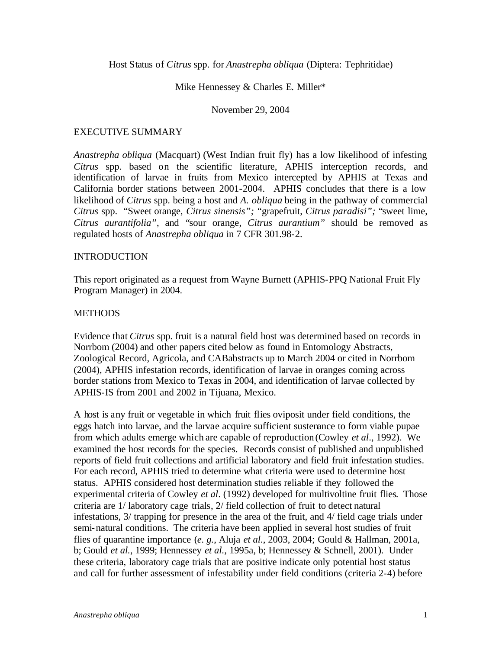Host Status of *Citrus* spp. for *Anastrepha obliqua* (Diptera: Tephritidae)

### Mike Hennessey & Charles E. Miller\*

#### November 29, 2004

#### EXECUTIVE SUMMARY

*Anastrepha obliqua* (Macquart) (West Indian fruit fly) has a low likelihood of infesting *Citrus* spp. based on the scientific literature, APHIS interception records, and identification of larvae in fruits from Mexico intercepted by APHIS at Texas and California border stations between 2001-2004. APHIS concludes that there is a low likelihood of *Citrus* spp. being a host and *A. obliqua* being in the pathway of commercial *Citrus* spp. "Sweet orange, *Citrus sinensis";* "grapefruit, *Citrus paradisi";* "sweet lime, *Citrus aurantifolia"*, and "sour orange, *Citrus aurantium"* should be removed as regulated hosts of *Anastrepha obliqua* in 7 CFR 301.98-2.

### **INTRODUCTION**

This report originated as a request from Wayne Burnett (APHIS-PPQ National Fruit Fly Program Manager) in 2004.

#### **METHODS**

Evidence that *Citrus* spp. fruit is a natural field host was determined based on records in Norrbom (2004) and other papers cited below as found in Entomology Abstracts, Zoological Record, Agricola, and CABabstracts up to March 2004 or cited in Norrbom (2004), APHIS infestation records, identification of larvae in oranges coming across border stations from Mexico to Texas in 2004, and identification of larvae collected by APHIS-IS from 2001 and 2002 in Tijuana, Mexico.

A host is any fruit or vegetable in which fruit flies oviposit under field conditions, the eggs hatch into larvae, and the larvae acquire sufficient sustenance to form viable pupae from which adults emerge which are capable of reproduction (Cowley *et al*., 1992). We examined the host records for the species. Records consist of published and unpublished reports of field fruit collections and artificial laboratory and field fruit infestation studies. For each record, APHIS tried to determine what criteria were used to determine host status. APHIS considered host determination studies reliable if they followed the experimental criteria of Cowley *et al*. (1992) developed for multivoltine fruit flies. Those criteria are 1/ laboratory cage trials, 2/ field collection of fruit to detect natural infestations, 3/ trapping for presence in the area of the fruit, and 4/ field cage trials under semi-natural conditions. The criteria have been applied in several host studies of fruit flies of quarantine importance (*e. g.*, Aluja *et al.*, 2003, 2004; Gould & Hallman, 2001a, b; Gould *et al.*, 1999; Hennessey *et al.*, 1995a, b; Hennessey & Schnell, 2001). Under these criteria, laboratory cage trials that are positive indicate only potential host status and call for further assessment of infestability under field conditions (criteria 2-4) before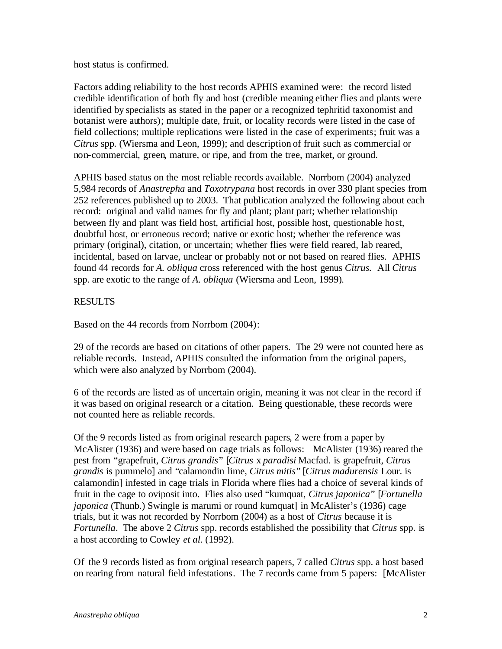host status is confirmed.

Factors adding reliability to the host records APHIS examined were: the record listed credible identification of both fly and host (credible meaning either flies and plants were identified by specialists as stated in the paper or a recognized tephritid taxonomist and botanist were authors); multiple date, fruit, or locality records were listed in the case of field collections; multiple replications were listed in the case of experiments; fruit was a *Citrus* spp*.* (Wiersma and Leon, 1999); and description of fruit such as commercial or non-commercial, green, mature, or ripe, and from the tree, market, or ground.

APHIS based status on the most reliable records available. Norrbom (2004) analyzed 5,984 records of *Anastrepha* and *Toxotrypana* host records in over 330 plant species from 252 references published up to 2003. That publication analyzed the following about each record: original and valid names for fly and plant; plant part; whether relationship between fly and plant was field host, artificial host, possible host, questionable host, doubtful host, or erroneous record; native or exotic host; whether the reference was primary (original), citation, or uncertain; whether flies were field reared, lab reared, incidental, based on larvae, unclear or probably not or not based on reared flies. APHIS found 44 records for *A. obliqua* cross referenced with the host genus *Citrus.* All *Citrus* spp. are exotic to the range of *A. obliqua* (Wiersma and Leon, 1999)*.*

# RESULTS

Based on the 44 records from Norrbom (2004):

29 of the records are based on citations of other papers. The 29 were not counted here as reliable records. Instead, APHIS consulted the information from the original papers, which were also analyzed by Norrbom (2004).

6 of the records are listed as of uncertain origin, meaning it was not clear in the record if it was based on original research or a citation. Being questionable, these records were not counted here as reliable records.

Of the 9 records listed as from original research papers, 2 were from a paper by McAlister (1936) and were based on cage trials as follows: McAlister (1936) reared the pest from "grapefruit, *Citrus grandis*" [*Citrus* x *paradisi* Macfad. is grapefruit, *Citrus grandis* is pummelo] and "calamondin lime, *Citrus mitis*" [*Citrus madurensis* Lour. is calamondin] infested in cage trials in Florida where flies had a choice of several kinds of fruit in the cage to oviposit into. Flies also used "kumquat, *Citrus japonica*" [*Fortunella japonica* (Thunb.) Swingle is marumi or round kumquat] in McAlister's (1936) cage trials, but it was not recorded by Norrbom (2004) as a host of *Citrus* because it is *Fortunella*. The above 2 *Citrus* spp. records established the possibility that *Citrus* spp. is a host according to Cowley *et al.* (1992).

Of the 9 records listed as from original research papers, 7 called *Citrus* spp. a host based on rearing from natural field infestations. The 7 records came from 5 papers: [McAlister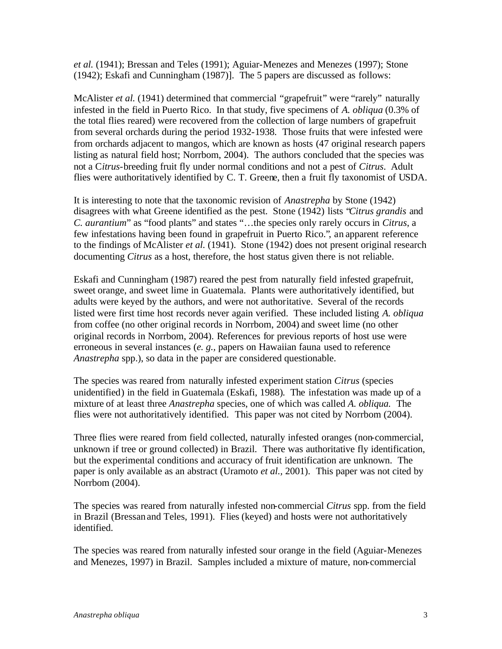*et al.* (1941); Bressan and Teles (1991); Aguiar-Menezes and Menezes (1997); Stone (1942); Eskafi and Cunningham (1987)]. The 5 papers are discussed as follows:

McAlister *et al.* (1941) determined that commercial "grapefruit" were "rarely" naturally infested in the field in Puerto Rico. In that study, five specimens of *A. obliqua* (0.3% of the total flies reared) were recovered from the collection of large numbers of grapefruit from several orchards during the period 1932-1938. Those fruits that were infested were from orchards adjacent to mangos, which are known as hosts (47 original research papers listing as natural field host; Norrbom, 2004). The authors concluded that the species was not a C*itrus*-breeding fruit fly under normal conditions and not a pest of *Citrus*. Adult flies were authoritatively identified by C. T. Greene, then a fruit fly taxonomist of USDA.

It is interesting to note that the taxonomic revision of *Anastrepha* by Stone (1942) disagrees with what Greene identified as the pest. Stone (1942) lists "*Citrus grandis* and *C. aurantium*" as "food plants" and states "…the species only rarely occurs in *Citrus*, a few infestations having been found in grapefruit in Puerto Rico.", an apparent reference to the findings of McAlister *et al.* (1941). Stone (1942) does not present original research documenting *Citrus* as a host, therefore, the host status given there is not reliable.

Eskafi and Cunningham (1987) reared the pest from naturally field infested grapefruit, sweet orange, and sweet lime in Guatemala. Plants were authoritatively identified, but adults were keyed by the authors, and were not authoritative. Several of the records listed were first time host records never again verified. These included listing *A. obliqua*  from coffee (no other original records in Norrbom, 2004) and sweet lime (no other original records in Norrbom, 2004). References for previous reports of host use were erroneous in several instances (*e. g.,* papers on Hawaiian fauna used to reference *Anastrepha* spp.), so data in the paper are considered questionable.

The species was reared from naturally infested experiment station *Citrus* (species unidentified) in the field in Guatemala (Eskafi, 1988). The infestation was made up of a mixture of at least three *Anastrepha* species, one of which was called *A. obliqua.* The flies were not authoritatively identified. This paper was not cited by Norrbom (2004).

Three flies were reared from field collected, naturally infested oranges (non-commercial, unknown if tree or ground collected) in Brazil. There was authoritative fly identification, but the experimental conditions and accuracy of fruit identification are unknown. The paper is only available as an abstract (Uramoto *et al.,* 2001). This paper was not cited by Norrbom (2004).

The species was reared from naturally infested non-commercial *Citrus* spp. from the field in Brazil (Bressan and Teles, 1991). Flies (keyed) and hosts were not authoritatively identified.

The species was reared from naturally infested sour orange in the field (Aguiar-Menezes and Menezes, 1997) in Brazil. Samples included a mixture of mature, non-commercial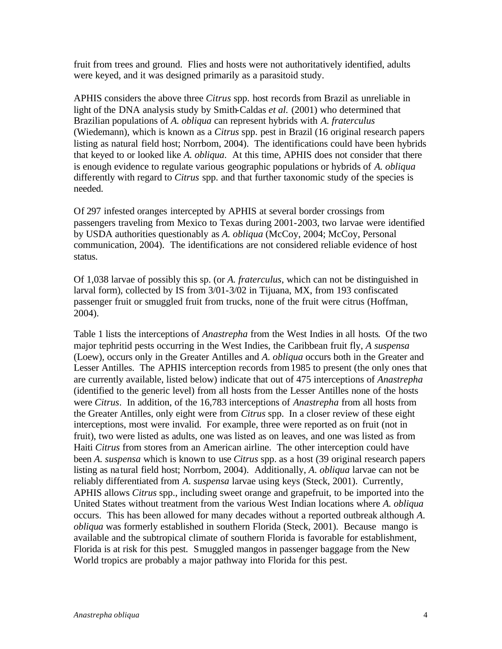fruit from trees and ground. Flies and hosts were not authoritatively identified, adults were keyed, and it was designed primarily as a parasitoid study.

APHIS considers the above three *Citrus* spp. host records from Brazil as unreliable in light of the DNA analysis study by Smith-Caldas *et al.* (2001) who determined that Brazilian populations of *A. obliqua* can represent hybrids with *A. fraterculus*  (Wiedemann), which is known as a *Citrus* spp. pest in Brazil (16 original research papers listing as natural field host; Norrbom, 2004). The identifications could have been hybrids that keyed to or looked like *A. obliqua*. At this time, APHIS does not consider that there is enough evidence to regulate various geographic populations or hybrids of *A. obliqua* differently with regard to *Citrus* spp. and that further taxonomic study of the species is needed.

Of 297 infested oranges intercepted by APHIS at several border crossings from passengers traveling from Mexico to Texas during 2001-2003, two larvae were identified by USDA authorities questionably as *A. obliqua* (McCoy, 2004; McCoy, Personal communication, 2004). The identifications are not considered reliable evidence of host status.

Of 1,038 larvae of possibly this sp. (or *A. fraterculus*, which can not be distinguished in larval form), collected by IS from 3/01-3/02 in Tijuana, MX, from 193 confiscated passenger fruit or smuggled fruit from trucks, none of the fruit were citrus (Hoffman, 2004).

Table 1 lists the interceptions of *Anastrepha* from the West Indies in all hosts. Of the two major tephritid pests occurring in the West Indies, the Caribbean fruit fly, *A suspensa*  (Loew)*,* occurs only in the Greater Antilles and *A. obliqua* occurs both in the Greater and Lesser Antilles. The APHIS interception records from 1985 to present (the only ones that are currently available, listed below) indicate that out of 475 interceptions of *Anastrepha*  (identified to the generic level) from all hosts from the Lesser Antilles none of the hosts were *Citrus*. In addition, of the 16,783 interceptions of *Anastrepha* from all hosts from the Greater Antilles, only eight were from *Citrus* spp. In a closer review of these eight interceptions, most were invalid. For example, three were reported as on fruit (not in fruit), two were listed as adults, one was listed as on leaves, and one was listed as from Haiti *Citrus* from stores from an American airline. The other interception could have been *A. suspensa* which is known to use *Citrus* spp. as a host (39 original research papers listing as natural field host; Norrbom, 2004). Additionally, *A. obliqua* larvae can not be reliably differentiated from *A. suspensa* larvae using keys (Steck, 2001). Currently, APHIS allows *Citrus* spp., including sweet orange and grapefruit, to be imported into the United States without treatment from the various West Indian locations where *A. obliqua*  occurs. This has been allowed for many decades without a reported outbreak although *A. obliqua* was formerly established in southern Florida (Steck, 2001). Because mango is available and the subtropical climate of southern Florida is favorable for establishment, Florida is at risk for this pest. Smuggled mangos in passenger baggage from the New World tropics are probably a major pathway into Florida for this pest.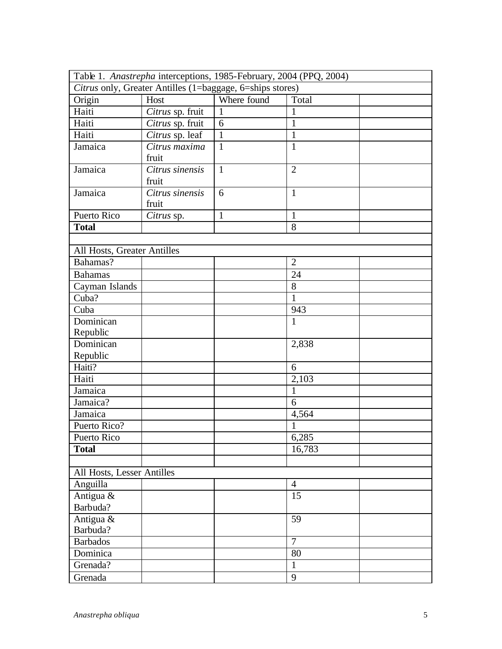| Table 1. Anastrepha interceptions, 1985-February, 2004 (PPQ, 2004) |                  |              |                |  |  |
|--------------------------------------------------------------------|------------------|--------------|----------------|--|--|
| Citrus only, Greater Antilles (1=baggage, 6=ships stores)          |                  |              |                |  |  |
| Origin                                                             | Host             | Where found  | Total          |  |  |
| Haiti                                                              | Citrus sp. fruit | 1            | 1              |  |  |
| Haiti                                                              | Citrus sp. fruit | 6            | $\mathbf{1}$   |  |  |
| Haiti                                                              | Citrus sp. leaf  | $\mathbf{1}$ | $\mathbf{1}$   |  |  |
| Jamaica                                                            | Citrus maxima    | $\mathbf{1}$ | $\mathbf{1}$   |  |  |
|                                                                    | fruit            |              |                |  |  |
| Jamaica                                                            | Citrus sinensis  | $\mathbf{1}$ | $\overline{2}$ |  |  |
|                                                                    | fruit            |              |                |  |  |
| Jamaica                                                            | Citrus sinensis  | 6            | $\mathbf{1}$   |  |  |
|                                                                    | fruit            |              |                |  |  |
| Puerto Rico                                                        | Citrus sp.       | $\mathbf{1}$ | $\mathbf{1}$   |  |  |
| <b>Total</b>                                                       |                  |              | 8              |  |  |
|                                                                    |                  |              |                |  |  |
| All Hosts, Greater Antilles                                        |                  |              |                |  |  |
| Bahamas?                                                           |                  |              | $\overline{2}$ |  |  |
| <b>Bahamas</b>                                                     |                  |              | 24             |  |  |
| Cayman Islands                                                     |                  |              | 8              |  |  |
| Cuba?                                                              |                  |              | $\mathbf{1}$   |  |  |
| Cuba                                                               |                  |              | 943            |  |  |
| Dominican                                                          |                  |              | $\mathbf{1}$   |  |  |
| Republic                                                           |                  |              |                |  |  |
| Dominican                                                          |                  |              | 2,838          |  |  |
| Republic                                                           |                  |              |                |  |  |
| Haiti?                                                             |                  |              | 6              |  |  |
| Haiti                                                              |                  |              | 2,103          |  |  |
| Jamaica                                                            |                  |              | $\mathbf{1}$   |  |  |
| Jamaica?                                                           |                  |              | 6              |  |  |
| Jamaica                                                            |                  |              | 4,564          |  |  |
| Puerto Rico?                                                       |                  |              | 1              |  |  |
| Puerto Rico                                                        |                  |              | 6,285          |  |  |
| <b>Total</b>                                                       |                  |              | 16,783         |  |  |
|                                                                    |                  |              |                |  |  |
| All Hosts, Lesser Antilles                                         |                  |              |                |  |  |
| Anguilla                                                           |                  |              | $\overline{4}$ |  |  |
| Antigua &                                                          |                  |              | 15             |  |  |
| Barbuda?                                                           |                  |              |                |  |  |
| Antigua &                                                          |                  |              | 59             |  |  |
| Barbuda?                                                           |                  |              |                |  |  |
| <b>Barbados</b>                                                    |                  |              | $\overline{7}$ |  |  |
| Dominica                                                           |                  |              | 80             |  |  |
| Grenada?                                                           |                  |              | $\mathbf{1}$   |  |  |
| Grenada                                                            |                  |              | 9              |  |  |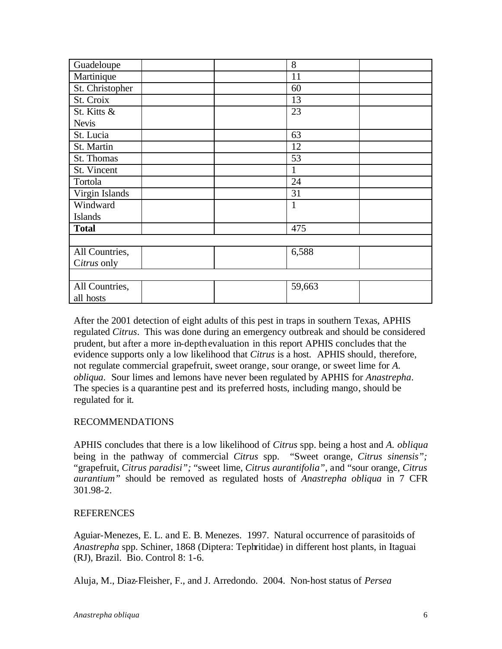| Guadeloupe      | 8            |
|-----------------|--------------|
| Martinique      | 11           |
| St. Christopher | 60           |
| St. Croix       | 13           |
| St. Kitts &     | 23           |
| <b>Nevis</b>    |              |
| St. Lucia       | 63           |
| St. Martin      | 12           |
| St. Thomas      | 53           |
| St. Vincent     | 1            |
| Tortola         | 24           |
| Virgin Islands  | 31           |
| Windward        | $\mathbf{1}$ |
| <b>Islands</b>  |              |
| <b>Total</b>    | 475          |
|                 |              |
| All Countries,  | 6,588        |
| Citrus only     |              |
|                 |              |
| All Countries,  | 59,663       |
| all hosts       |              |

After the 2001 detection of eight adults of this pest in traps in southern Texas, APHIS regulated *Citrus*. This was done during an emergency outbreak and should be considered prudent, but after a more in-depth evaluation in this report APHIS concludes that the evidence supports only a low likelihood that *Citrus* is a host. APHIS should, therefore, not regulate commercial grapefruit, sweet orange, sour orange, or sweet lime for *A. obliqua*. Sour limes and lemons have never been regulated by APHIS for *Anastrepha*. The species is a quarantine pest and its preferred hosts, including mango, should be regulated for it.

## RECOMMENDATIONS

APHIS concludes that there is a low likelihood of *Citrus* spp. being a host and *A. obliqua*  being in the pathway of commercial *Citrus* spp. "Sweet orange, *Citrus sinensis";* "grapefruit, *Citrus paradisi";* "sweet lime, *Citrus aurantifolia"*, and "sour orange, *Citrus aurantium"* should be removed as regulated hosts of *Anastrepha obliqua* in 7 CFR 301.98-2.

## **REFERENCES**

Aguiar-Menezes, E. L. and E. B. Menezes. 1997. Natural occurrence of parasitoids of *Anastrepha* spp. Schiner, 1868 (Diptera: Tephritidae) in different host plants, in Itaguai (RJ), Brazil. Bio. Control 8: 1-6.

Aluja, M., Diaz-Fleisher, F., and J. Arredondo. 2004. Non-host status of *Persea*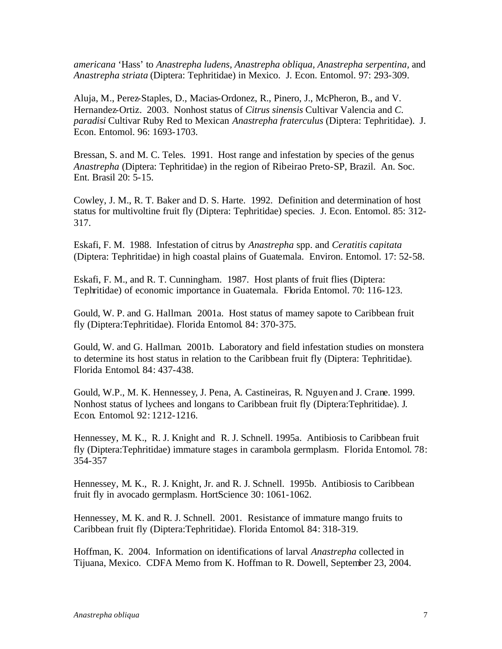*americana* 'Hass' to *Anastrepha ludens, Anastrepha obliqua, Anastrepha serpentina,* and *Anastrepha striata* (Diptera: Tephritidae) in Mexico. J. Econ. Entomol. 97: 293-309.

Aluja, M., Perez-Staples, D., Macias-Ordonez, R., Pinero, J., McPheron, B., and V. Hernandez-Ortiz. 2003. Nonhost status of *Citrus sinensis* Cultivar Valencia and *C. paradisi* Cultivar Ruby Red to Mexican *Anastrepha fraterculus* (Diptera: Tephritidae). J. Econ. Entomol. 96: 1693-1703.

Bressan, S. and M. C. Teles. 1991. Host range and infestation by species of the genus *Anastrepha* (Diptera: Tephritidae) in the region of Ribeirao Preto-SP, Brazil. An. Soc. Ent. Brasil 20: 5-15.

Cowley, J. M., R. T. Baker and D. S. Harte. 1992. Definition and determination of host status for multivoltine fruit fly (Diptera: Tephritidae) species. J. Econ. Entomol. 85: 312- 317.

Eskafi, F. M. 1988. Infestation of citrus by *Anastrepha* spp. and *Ceratitis capitata* (Diptera: Tephritidae) in high coastal plains of Guatemala. Environ. Entomol. 17: 52-58.

Eskafi, F. M., and R. T. Cunningham. 1987. Host plants of fruit flies (Diptera: Tephritidae) of economic importance in Guatemala. Florida Entomol. 70: 116-123.

Gould, W. P. and G. Hallman. 2001a. Host status of mamey sapote to Caribbean fruit fly (Diptera:Tephritidae). Florida Entomol. 84: 370-375.

Gould, W. and G. Hallman. 2001b. Laboratory and field infestation studies on monstera to determine its host status in relation to the Caribbean fruit fly (Diptera: Tephritidae). Florida Entomol. 84: 437-438.

Gould, W.P., M. K. Hennessey, J. Pena, A. Castineiras, R. Nguyen and J. Crane. 1999. Nonhost status of lychees and longans to Caribbean fruit fly (Diptera:Tephritidae). J. Econ. Entomol. 92: 1212-1216.

Hennessey, M. K., R. J. Knight and R. J. Schnell. 1995a. Antibiosis to Caribbean fruit fly (Diptera:Tephritidae) immature stages in carambola germplasm. Florida Entomol. 78: 354-357

Hennessey, M. K., R. J. Knight, Jr. and R. J. Schnell. 1995b. Antibiosis to Caribbean fruit fly in avocado germplasm. HortScience 30: 1061-1062.

Hennessey, M. K. and R. J. Schnell. 2001. Resistance of immature mango fruits to Caribbean fruit fly (Diptera:Tephritidae). Florida Entomol. 84: 318-319.

Hoffman, K. 2004. Information on identifications of larval *Anastrepha* collected in Tijuana, Mexico. CDFA Memo from K. Hoffman to R. Dowell, September 23, 2004.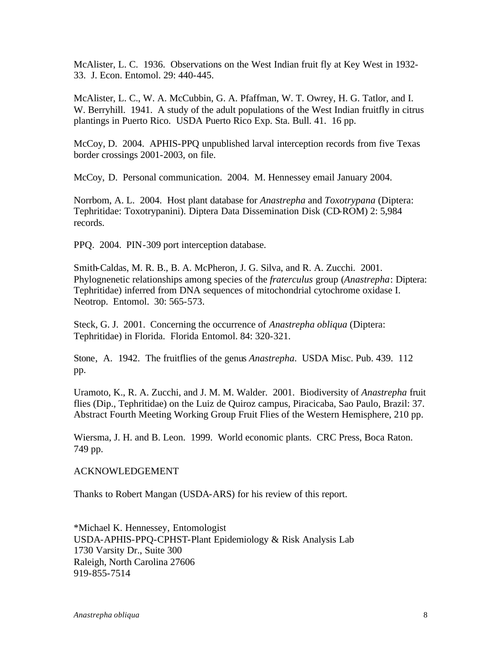McAlister, L. C. 1936. Observations on the West Indian fruit fly at Key West in 1932- 33. J. Econ. Entomol. 29: 440-445.

McAlister, L. C., W. A. McCubbin, G. A. Pfaffman, W. T. Owrey, H. G. Tatlor, and I. W. Berryhill. 1941. A study of the adult populations of the West Indian fruitfly in citrus plantings in Puerto Rico. USDA Puerto Rico Exp. Sta. Bull. 41. 16 pp.

McCoy, D. 2004. APHIS-PPQ unpublished larval interception records from five Texas border crossings 2001-2003, on file.

McCoy, D. Personal communication. 2004. M. Hennessey email January 2004.

Norrbom, A. L. 2004. Host plant database for *Anastrepha* and *Toxotrypana* (Diptera: Tephritidae: Toxotrypanini). Diptera Data Dissemination Disk (CD-ROM) 2: 5,984 records.

PPQ. 2004. PIN-309 port interception database.

Smith-Caldas, M. R. B., B. A. McPheron, J. G. Silva, and R. A. Zucchi. 2001. Phylognenetic relationships among species of the *fraterculus* group (*Anastrepha*: Diptera: Tephritidae) inferred from DNA sequences of mitochondrial cytochrome oxidase I. Neotrop. Entomol. 30: 565-573.

Steck, G. J. 2001. Concerning the occurrence of *Anastrepha obliqua* (Diptera: Tephritidae) in Florida. Florida Entomol. 84: 320-321.

Stone, A. 1942. The fruitflies of the genus *Anastrepha*. USDA Misc. Pub. 439. 112 pp.

Uramoto, K., R. A. Zucchi, and J. M. M. Walder. 2001. Biodiversity of *Anastrepha* fruit flies (Dip., Tephritidae) on the Luiz de Quiroz campus, Piracicaba, Sao Paulo, Brazil: 37. Abstract Fourth Meeting Working Group Fruit Flies of the Western Hemisphere, 210 pp.

Wiersma, J. H. and B. Leon. 1999. World economic plants. CRC Press, Boca Raton. 749 pp.

ACKNOWLEDGEMENT

Thanks to Robert Mangan (USDA-ARS) for his review of this report.

\*Michael K. Hennessey, Entomologist USDA-APHIS-PPQ-CPHST-Plant Epidemiology & Risk Analysis Lab 1730 Varsity Dr., Suite 300 Raleigh, North Carolina 27606 919-855-7514